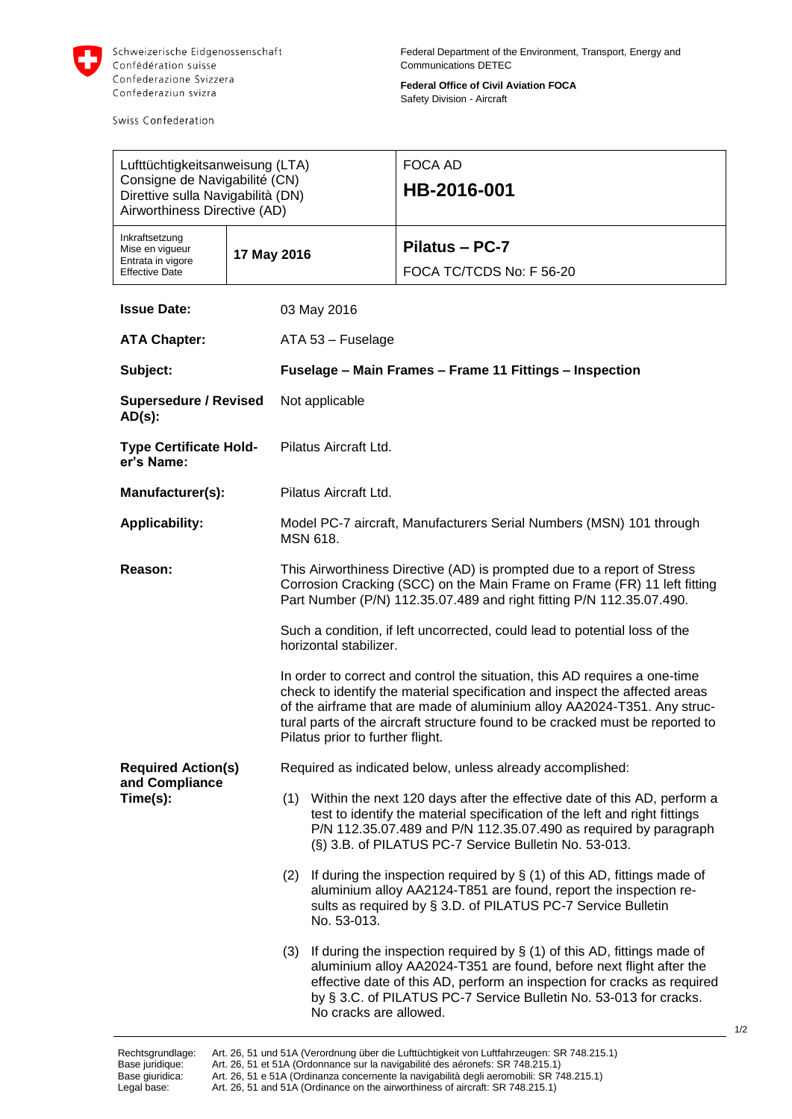

Swiss Confederation

**Federal Office of Civil Aviation FOCA** Safety Division - Aircraft

| Lufttüchtigkeitsanweisung (LTA)<br>Consigne de Navigabilité (CN)<br>Direttive sulla Navigabilità (DN)<br>Airworthiness Directive (AD) |  |                                                                                                                                                                                                                                                                                                                                                            |                        | <b>FOCA AD</b><br>HB-2016-001                                                                                                                                                                                                                                                                    |  |  |
|---------------------------------------------------------------------------------------------------------------------------------------|--|------------------------------------------------------------------------------------------------------------------------------------------------------------------------------------------------------------------------------------------------------------------------------------------------------------------------------------------------------------|------------------------|--------------------------------------------------------------------------------------------------------------------------------------------------------------------------------------------------------------------------------------------------------------------------------------------------|--|--|
| Inkraftsetzung<br>Mise en vigueur<br>Entrata in vigore<br><b>Effective Date</b>                                                       |  | 17 May 2016                                                                                                                                                                                                                                                                                                                                                |                        | Pilatus - PC-7<br>FOCA TC/TCDS No: F 56-20                                                                                                                                                                                                                                                       |  |  |
| <b>Issue Date:</b>                                                                                                                    |  | 03 May 2016                                                                                                                                                                                                                                                                                                                                                |                        |                                                                                                                                                                                                                                                                                                  |  |  |
| <b>ATA Chapter:</b>                                                                                                                   |  | ATA 53 - Fuselage                                                                                                                                                                                                                                                                                                                                          |                        |                                                                                                                                                                                                                                                                                                  |  |  |
| Subject:                                                                                                                              |  | Fuselage - Main Frames - Frame 11 Fittings - Inspection                                                                                                                                                                                                                                                                                                    |                        |                                                                                                                                                                                                                                                                                                  |  |  |
| <b>Supersedure / Revised</b><br>$AD(s)$ :                                                                                             |  | Not applicable                                                                                                                                                                                                                                                                                                                                             |                        |                                                                                                                                                                                                                                                                                                  |  |  |
| <b>Type Certificate Hold-</b><br>er's Name:                                                                                           |  | Pilatus Aircraft Ltd.                                                                                                                                                                                                                                                                                                                                      |                        |                                                                                                                                                                                                                                                                                                  |  |  |
| Manufacturer(s):                                                                                                                      |  | Pilatus Aircraft Ltd.                                                                                                                                                                                                                                                                                                                                      |                        |                                                                                                                                                                                                                                                                                                  |  |  |
| <b>Applicability:</b>                                                                                                                 |  | Model PC-7 aircraft, Manufacturers Serial Numbers (MSN) 101 through<br><b>MSN 618.</b>                                                                                                                                                                                                                                                                     |                        |                                                                                                                                                                                                                                                                                                  |  |  |
| Reason:                                                                                                                               |  | This Airworthiness Directive (AD) is prompted due to a report of Stress<br>Corrosion Cracking (SCC) on the Main Frame on Frame (FR) 11 left fitting<br>Part Number (P/N) 112.35.07.489 and right fitting P/N 112.35.07.490.                                                                                                                                |                        |                                                                                                                                                                                                                                                                                                  |  |  |
|                                                                                                                                       |  | Such a condition, if left uncorrected, could lead to potential loss of the<br>horizontal stabilizer.                                                                                                                                                                                                                                                       |                        |                                                                                                                                                                                                                                                                                                  |  |  |
|                                                                                                                                       |  | In order to correct and control the situation, this AD requires a one-time<br>check to identify the material specification and inspect the affected areas<br>of the airframe that are made of aluminium alloy AA2024-T351. Any struc-<br>tural parts of the aircraft structure found to be cracked must be reported to<br>Pilatus prior to further flight. |                        |                                                                                                                                                                                                                                                                                                  |  |  |
| <b>Required Action(s)</b><br>and Compliance                                                                                           |  | Required as indicated below, unless already accomplished:                                                                                                                                                                                                                                                                                                  |                        |                                                                                                                                                                                                                                                                                                  |  |  |
| Time(s):                                                                                                                              |  |                                                                                                                                                                                                                                                                                                                                                            |                        | (1) Within the next 120 days after the effective date of this AD, perform a<br>test to identify the material specification of the left and right fittings<br>P/N 112.35.07.489 and P/N 112.35.07.490 as required by paragraph<br>(§) 3.B. of PILATUS PC-7 Service Bulletin No. 53-013.           |  |  |
|                                                                                                                                       |  | (2)                                                                                                                                                                                                                                                                                                                                                        | No. 53-013.            | If during the inspection required by $\S(1)$ of this AD, fittings made of<br>aluminium alloy AA2124-T851 are found, report the inspection re-<br>sults as required by § 3.D. of PILATUS PC-7 Service Bulletin                                                                                    |  |  |
|                                                                                                                                       |  | (3)                                                                                                                                                                                                                                                                                                                                                        | No cracks are allowed. | If during the inspection required by $\S(1)$ of this AD, fittings made of<br>aluminium alloy AA2024-T351 are found, before next flight after the<br>effective date of this AD, perform an inspection for cracks as required<br>by § 3.C. of PILATUS PC-7 Service Bulletin No. 53-013 for cracks. |  |  |